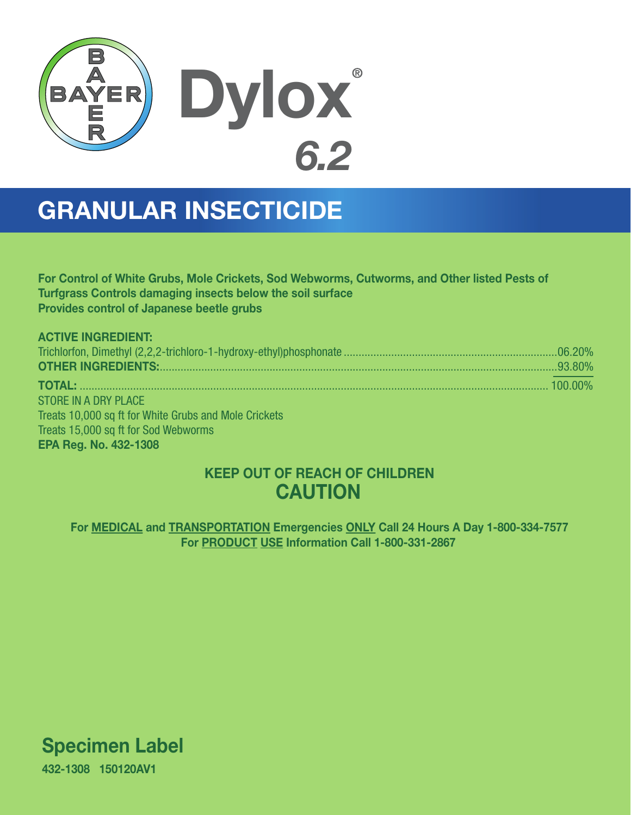

# GRANULAR INSECTICIDE

For Control of White Grubs, Mole Crickets, Sod Webworms, Cutworms, and Other listed Pests of Turfgrass Controls damaging insects below the soil surface Provides control of Japanese beetle grubs

| <b>ACTIVE INGREDIENT:</b>                             |  |
|-------------------------------------------------------|--|
|                                                       |  |
|                                                       |  |
|                                                       |  |
| STORE IN A DRY PLACE                                  |  |
| Treats 10,000 sq ft for White Grubs and Mole Crickets |  |
| Treats 15,000 sq ft for Sod Webworms                  |  |
| <b>EPA Reg. No. 432-1308</b>                          |  |

## KEEP OUT OF REACH OF CHILDREN **CAUTION**

For MEDICAL and TRANSPORTATION Emergencies ONLY Call 24 Hours A Day 1-800-334-7577 For PRODUCT USE Information Call 1-800-331-2867

Specimen Label

432-1308 150120AV1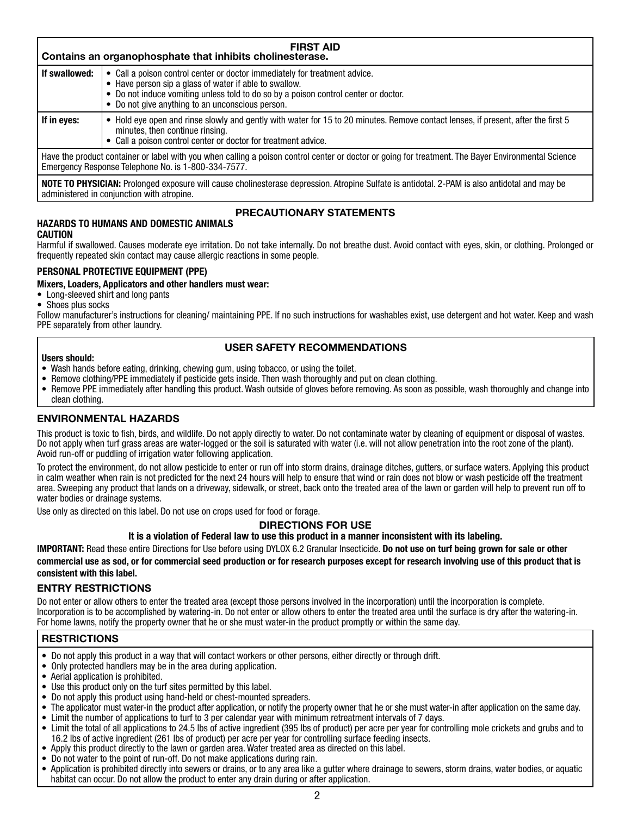| <b>FIRST AID</b><br>Contains an organophosphate that inhibits cholinesterase.                                                                                                                              |                                                                                                                                                                                                                                                                                 |  |
|------------------------------------------------------------------------------------------------------------------------------------------------------------------------------------------------------------|---------------------------------------------------------------------------------------------------------------------------------------------------------------------------------------------------------------------------------------------------------------------------------|--|
| If swallowed:                                                                                                                                                                                              | • Call a poison control center or doctor immediately for treatment advice.<br>• Have person sip a glass of water if able to swallow.<br>• Do not induce vomiting unless told to do so by a poison control center or doctor.<br>• Do not give anything to an unconscious person. |  |
| If in eyes:                                                                                                                                                                                                | Hold eye open and rinse slowly and gently with water for 15 to 20 minutes. Remove contact lenses, if present, after the first 5<br>minutes, then continue rinsing.<br>Call a poison control center or doctor for treatment advice.                                              |  |
| Have the product container or label with you when calling a poison control center or doctor or going for treatment. The Bayer Environmental Science<br>Emergency Response Telephone No. is 1-800-334-7577. |                                                                                                                                                                                                                                                                                 |  |
|                                                                                                                                                                                                            | NOTE TO PHYSICIAN: Prolonged exposure will cause cholinesterase depression. Atropine Sulfate is antidotal. 2-PAM is also antidotal and may be                                                                                                                                   |  |

**HAZARDS TO HUMANS AND DOMESTIC ANIMALS**

administered in conjunction with atropine.

### **PRECAUTIONARY STATEMENTS**

#### **CAUTION**

Harmful if swallowed. Causes moderate eye irritation. Do not take internally. Do not breathe dust. Avoid contact with eyes, skin, or clothing. Prolonged or frequently repeated skin contact may cause allergic reactions in some people.

#### **PERSONAL PROTECTIVE EQUIPMENT (PPE)**

#### **Mixers, Loaders, Applicators and other handlers must wear:**

- Long-sleeved shirt and long pants
- Shoes plus socks

Follow manufacturer's instructions for cleaning/ maintaining PPE. If no such instructions for washables exist, use detergent and hot water. Keep and wash PPE separately from other laundry.

#### **USER SAFETY RECOMMENDATIONS**

#### **Users should:**

- Wash hands before eating, drinking, chewing gum, using tobacco, or using the toilet.
- Remove clothing/PPE immediately if pesticide gets inside. Then wash thoroughly and put on clean clothing.
- Remove PPE immediately after handling this product. Wash outside of gloves before removing. As soon as possible, wash thoroughly and change into clean clothing.

#### **ENVIRONMENTAL HAZARDS**

This product is toxic to fish, birds, and wildlife. Do not apply directly to water. Do not contaminate water by cleaning of equipment or disposal of wastes. Do not apply when turf grass areas are water-logged or the soil is saturated with water (i.e. will not allow penetration into the root zone of the plant). Avoid run-off or puddling of irrigation water following application.

To protect the environment, do not allow pesticide to enter or run off into storm drains, drainage ditches, gutters, or surface waters. Applying this product in calm weather when rain is not predicted for the next 24 hours will help to ensure that wind or rain does not blow or wash pesticide off the treatment area. Sweeping any product that lands on a driveway, sidewalk, or street, back onto the treated area of the lawn or garden will help to prevent run off to water bodies or drainage systems.

Use only as directed on this label. Do not use on crops used for food or forage.

#### **DIRECTIONS FOR USE**

**It is a violation of Federal law to use this product in a manner inconsistent with its labeling.**

**IMPORTANT:** Read these entire Directions for Use before using DYLOX 6.2 Granular Insecticide. **Do not use on turf being grown for sale or other commercial use as sod, or for commercial seed production or for research purposes except for research involving use of this product that is consistent with this label.**

#### **ENTRY RESTRICTIONS**

Do not enter or allow others to enter the treated area (except those persons involved in the incorporation) until the incorporation is complete. Incorporation is to be accomplished by watering-in. Do not enter or allow others to enter the treated area until the surface is dry after the watering-in. For home lawns, notify the property owner that he or she must water-in the product promptly or within the same day.

#### **RESTRICTIONS**

- Do not apply this product in a way that will contact workers or other persons, either directly or through drift.
- Only protected handlers may be in the area during application.
- Aerial application is prohibited.
- Use this product only on the turf sites permitted by this label.
- Do not apply this product using hand-held or chest-mounted spreaders.
- The applicator must water-in the product after application, or notify the property owner that he or she must water-in after application on the same day. • Limit the number of applications to turf to 3 per calendar year with minimum retreatment intervals of 7 days.
- Limit the total of all applications to 24.5 lbs of active ingredient (395 lbs of product) per acre per year for controlling mole crickets and grubs and to 16.2 lbs of active ingredient (261 lbs of product) per acre per year for controlling surface feeding insects.
- Apply this product directly to the lawn or garden area. Water treated area as directed on this label.
- Do not water to the point of run-off. Do not make applications during rain.
- Application is prohibited directly into sewers or drains, or to any area like a gutter where drainage to sewers, storm drains, water bodies, or aquatic habitat can occur. Do not allow the product to enter any drain during or after application.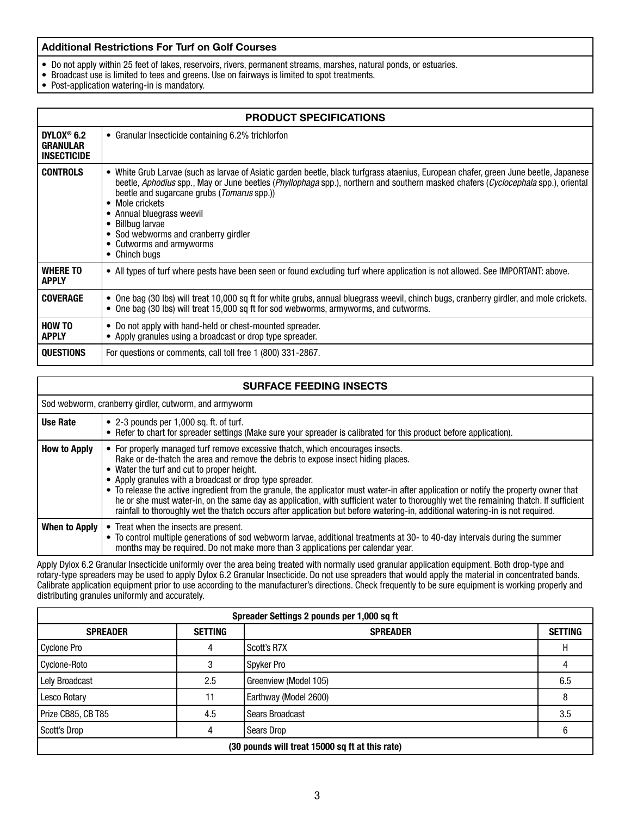#### **Additional Restrictions For Turf on Golf Courses**

- Do not apply within 25 feet of lakes, reservoirs, rivers, permanent streams, marshes, natural ponds, or estuaries.
- Broadcast use is limited to tees and greens. Use on fairways is limited to spot treatments.
- Post-application watering-in is mandatory.

| <b>PRODUCT SPECIFICATIONS</b>                                   |                                                                                                                                                                                                                                                                                                                                                                                                                                                                                    |  |
|-----------------------------------------------------------------|------------------------------------------------------------------------------------------------------------------------------------------------------------------------------------------------------------------------------------------------------------------------------------------------------------------------------------------------------------------------------------------------------------------------------------------------------------------------------------|--|
| DYLOX <sup>®</sup> 6.2<br><b>GRANULAR</b><br><b>INSECTICIDE</b> | • Granular Insecticide containing 6.2% trichlorfon                                                                                                                                                                                                                                                                                                                                                                                                                                 |  |
| <b>CONTROLS</b>                                                 | • White Grub Larvae (such as larvae of Asiatic garden beetle, black turfgrass ataenius, European chafer, green June beetle, Japanese<br>beetle, Aphodius spp., May or June beetles (Phyllophaga spp.), northern and southern masked chafers (Cyclocephala spp.), oriental<br>beetle and sugarcane grubs ( <i>Tomarus</i> spp.))<br>Mole crickets<br>• Annual bluegrass weevil<br>Billbug larvae<br>• Sod webworms and cranberry girdler<br>Cutworms and armyworms<br>• Chinch bugs |  |
| <b>WHERE TO</b><br><b>APPLY</b>                                 | . All types of turf where pests have been seen or found excluding turf where application is not allowed. See IMPORTANT: above.                                                                                                                                                                                                                                                                                                                                                     |  |
| <b>COVERAGE</b>                                                 | • One bag (30 lbs) will treat 10,000 sq ft for white grubs, annual bluegrass weevil, chinch bugs, cranberry girdler, and mole crickets.<br>• One bag (30 lbs) will treat 15,000 sq ft for sod webworms, armyworms, and cutworms.                                                                                                                                                                                                                                                   |  |
| <b>HOW TO</b><br><b>APPLY</b>                                   | • Do not apply with hand-held or chest-mounted spreader.<br>• Apply granules using a broadcast or drop type spreader.                                                                                                                                                                                                                                                                                                                                                              |  |
| <b>QUESTIONS</b>                                                | For questions or comments, call toll free 1 (800) 331-2867.                                                                                                                                                                                                                                                                                                                                                                                                                        |  |

| <b>SURFACE FEEDING INSECTS</b> |                                                                                                                                                                                                                                                                                                                                                                                                                                                                                                                                                                                                                                                                                                 |  |
|--------------------------------|-------------------------------------------------------------------------------------------------------------------------------------------------------------------------------------------------------------------------------------------------------------------------------------------------------------------------------------------------------------------------------------------------------------------------------------------------------------------------------------------------------------------------------------------------------------------------------------------------------------------------------------------------------------------------------------------------|--|
|                                | Sod webworm, cranberry girdler, cutworm, and armyworm                                                                                                                                                                                                                                                                                                                                                                                                                                                                                                                                                                                                                                           |  |
| <b>Use Rate</b>                | • 2-3 pounds per 1,000 sq. ft. of turf.<br>• Refer to chart for spreader settings (Make sure your spreader is calibrated for this product before application).                                                                                                                                                                                                                                                                                                                                                                                                                                                                                                                                  |  |
| <b>How to Apply</b>            | • For properly managed turf remove excessive thatch, which encourages insects.<br>Rake or de-thatch the area and remove the debris to expose insect hiding places.<br>• Water the turf and cut to proper height.<br>• Apply granules with a broadcast or drop type spreader.<br>• To release the active ingredient from the granule, the applicator must water-in after application or notify the property owner that<br>he or she must water-in, on the same day as application, with sufficient water to thoroughly wet the remaining thatch. If sufficient<br>rainfall to thoroughly wet the thatch occurs after application but before watering-in, additional watering-in is not required. |  |
| When to Apply                  | • Treat when the insects are present.<br>• To control multiple generations of sod webworm larvae, additional treatments at 30- to 40-day intervals during the summer<br>months may be required. Do not make more than 3 applications per calendar year.                                                                                                                                                                                                                                                                                                                                                                                                                                         |  |

Apply Dylox 6.2 Granular Insecticide uniformly over the area being treated with normally used granular application equipment. Both drop-type and rotary-type spreaders may be used to apply Dylox 6.2 Granular Insecticide. Do not use spreaders that would apply the material in concentrated bands. Calibrate application equipment prior to use according to the manufacturer's directions. Check frequently to be sure equipment is working properly and distributing granules uniformly and accurately.

| Spreader Settings 2 pounds per 1,000 sq ft      |                |                        |                |
|-------------------------------------------------|----------------|------------------------|----------------|
| <b>SPREADER</b>                                 | <b>SETTING</b> | <b>SPREADER</b>        | <b>SETTING</b> |
| Cyclone Pro                                     | 4              | Scott's R7X            | н              |
| Cyclone-Roto                                    | 3              | Spyker Pro             |                |
| <b>Lely Broadcast</b>                           | 2.5            | Greenview (Model 105)  | 6.5            |
| <b>Lesco Rotary</b>                             | 11             | Earthway (Model 2600)  |                |
| Prize CB85, CB T85                              | 4.5            | <b>Sears Broadcast</b> | 3.5            |
| Scott's Drop                                    | 4              | Sears Drop             | 6              |
| (30 pounds will treat 15000 sq ft at this rate) |                |                        |                |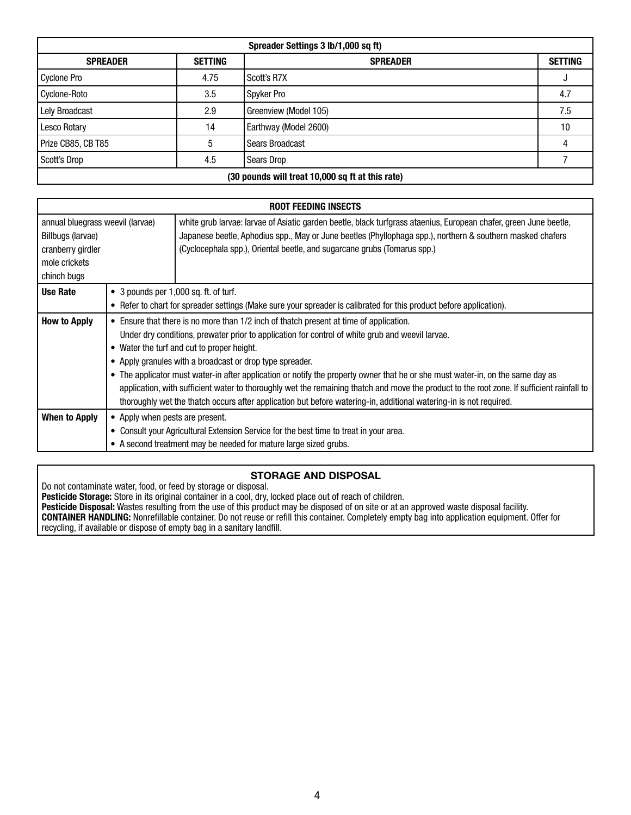| Spreader Settings 3 lb/1,000 sq ft)              |                |                        |                |
|--------------------------------------------------|----------------|------------------------|----------------|
| <b>SPREADER</b>                                  | <b>SETTING</b> | <b>SPREADER</b>        | <b>SETTING</b> |
| Cyclone Pro                                      | 4.75           | Scott's R7X            |                |
| Cyclone-Roto                                     | 3.5            | Spyker Pro             | 4.7            |
| Lely Broadcast                                   | 2.9            | Greenview (Model 105)  | 7.5            |
| Lesco Rotary                                     | 14             | Earthway (Model 2600)  | 10             |
| Prize CB85, CB T85                               | 5              | <b>Sears Broadcast</b> |                |
| Scott's Drop                                     | 4.5            | Sears Drop             |                |
| (30 pounds will treat 10,000 sq ft at this rate) |                |                        |                |

| <b>ROOT FEEDING INSECTS</b>                                                                                |                                                                                                                                            |                                                                                                                                                                                                                                                                                                             |  |  |
|------------------------------------------------------------------------------------------------------------|--------------------------------------------------------------------------------------------------------------------------------------------|-------------------------------------------------------------------------------------------------------------------------------------------------------------------------------------------------------------------------------------------------------------------------------------------------------------|--|--|
| annual bluegrass weevil (larvae)<br>Billbugs (larvae)<br>cranberry girdler<br>mole crickets<br>chinch bugs |                                                                                                                                            | white grub larvae: larvae of Asiatic garden beetle, black turfgrass ataenius, European chafer, green June beetle,<br>Japanese beetle, Aphodius spp., May or June beetles (Phyllophaga spp.), northern & southern masked chafers<br>(Cyclocephala spp.), Oriental beetle, and sugarcane grubs (Tomarus spp.) |  |  |
| Use Rate                                                                                                   |                                                                                                                                            | • 3 pounds per 1,000 sq. ft. of turf.                                                                                                                                                                                                                                                                       |  |  |
|                                                                                                            |                                                                                                                                            | • Refer to chart for spreader settings (Make sure your spreader is calibrated for this product before application).                                                                                                                                                                                         |  |  |
| <b>How to Apply</b>                                                                                        | • Ensure that there is no more than 1/2 inch of thatch present at time of application.                                                     |                                                                                                                                                                                                                                                                                                             |  |  |
|                                                                                                            | Under dry conditions, prewater prior to application for control of white grub and weevil larvae.                                           |                                                                                                                                                                                                                                                                                                             |  |  |
|                                                                                                            | • Water the turf and cut to proper height.                                                                                                 |                                                                                                                                                                                                                                                                                                             |  |  |
|                                                                                                            | • Apply granules with a broadcast or drop type spreader.                                                                                   |                                                                                                                                                                                                                                                                                                             |  |  |
|                                                                                                            | • The applicator must water-in after application or notify the property owner that he or she must water-in, on the same day as             |                                                                                                                                                                                                                                                                                                             |  |  |
|                                                                                                            | application, with sufficient water to thoroughly wet the remaining thatch and move the product to the root zone. If sufficient rainfall to |                                                                                                                                                                                                                                                                                                             |  |  |
|                                                                                                            |                                                                                                                                            | thoroughly wet the thatch occurs after application but before watering-in, additional watering-in is not required.                                                                                                                                                                                          |  |  |
| When to Apply                                                                                              | • Apply when pests are present.                                                                                                            |                                                                                                                                                                                                                                                                                                             |  |  |
|                                                                                                            | Consult your Agricultural Extension Service for the best time to treat in your area.                                                       |                                                                                                                                                                                                                                                                                                             |  |  |
|                                                                                                            | • A second treatment may be needed for mature large sized grubs.                                                                           |                                                                                                                                                                                                                                                                                                             |  |  |

#### **STORAGE AND DISPOSAL**

Do not contaminate water, food, or feed by storage or disposal. **Pesticide Storage:** Store in its original container in a cool, dry, locked place out of reach of children.

**Pesticide Disposal:** Wastes resulting from the use of this product may be disposed of on site or at an approved waste disposal facility. **CONTAINER HANDLING:** Nonrefillable container. Do not reuse or refill this container. Completely empty bag into application equipment. Offer for recycling, if available or dispose of empty bag in a sanitary landfill.